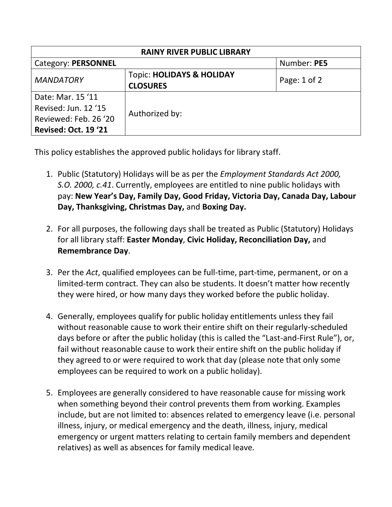| <b>RAINY RIVER PUBLIC LIBRARY</b> |                                      |                  |  |  |  |  |
|-----------------------------------|--------------------------------------|------------------|--|--|--|--|
| Category: PERSONNEL               | Number: PE5                          |                  |  |  |  |  |
| <b>MANDATORY</b>                  | <b>Topic: HOLIDAYS &amp; HOLIDAY</b> | Page: $1$ of $2$ |  |  |  |  |
|                                   | <b>CLOSURES</b>                      |                  |  |  |  |  |
| Date: Mar. 15 '11                 |                                      |                  |  |  |  |  |
| Revised: Jun. 12 '15              |                                      |                  |  |  |  |  |
| Reviewed: Feb. 26 '20             | Authorized by:                       |                  |  |  |  |  |
| <b>Revised: Oct. 19 '21</b>       |                                      |                  |  |  |  |  |

This policy establishes the approved public holidays for library staff.

- 1. Public (Statutory) Holidays will be as per the *Employment Standards Act 2000, S.O. 2000, c.41*. Currently, employees are entitled to nine public holidays with pay: **New Year's Day, Family Day, Good Friday, Victoria Day, Canada Day, Labour Day, Thanksgiving, Christmas Day,** and **Boxing Day.**
- 2. For all purposes, the following days shall be treated as Public (Statutory) Holidays for all library staff: **Easter Monday**, **Civic Holiday, Reconciliation Day,** and **Remembrance Day**.
- 3. Per the *Act*, qualified employees can be full-time, part-time, permanent, or on a limited-term contract. They can also be students. It doesn't matter how recently they were hired, or how many days they worked before the public holiday.
- 4. Generally, employees qualify for public holiday entitlements unless they fail without reasonable cause to work their entire shift on their regularly-scheduled days before or after the public holiday (this is called the "Last-and-First Rule"), or, fail without reasonable cause to work their entire shift on the public holiday if they agreed to or were required to work that day (please note that only some employees can be required to work on a public holiday).
- 5. Employees are generally considered to have reasonable cause for missing work when something beyond their control prevents them from working. Examples include, but are not limited to: absences related to emergency leave (i.e. personal illness, injury, or medical emergency and the death, illness, injury, medical emergency or urgent matters relating to certain family members and dependent relatives) as well as absences for family medical leave.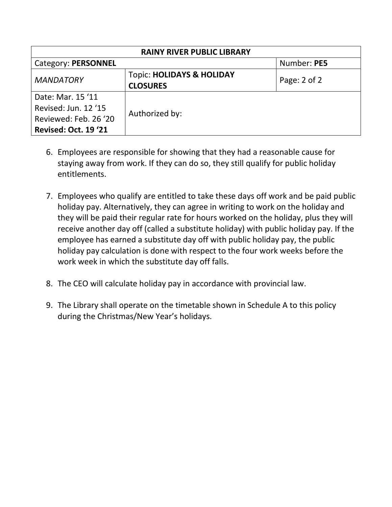| <b>RAINY RIVER PUBLIC LIBRARY</b>                                                                 |                                                         |                  |  |  |  |  |
|---------------------------------------------------------------------------------------------------|---------------------------------------------------------|------------------|--|--|--|--|
| <b>Category: PERSONNEL</b>                                                                        | Number: PE5                                             |                  |  |  |  |  |
| <b>MANDATORY</b>                                                                                  | <b>Topic: HOLIDAYS &amp; HOLIDAY</b><br><b>CLOSURES</b> | Page: $2$ of $2$ |  |  |  |  |
| Date: Mar. 15 '11<br>Revised: Jun. 12 '15<br>Reviewed: Feb. 26 '20<br><b>Revised: Oct. 19 '21</b> | Authorized by:                                          |                  |  |  |  |  |

- 6. Employees are responsible for showing that they had a reasonable cause for staying away from work. If they can do so, they still qualify for public holiday entitlements.
- 7. Employees who qualify are entitled to take these days off work and be paid public holiday pay. Alternatively, they can agree in writing to work on the holiday and they will be paid their regular rate for hours worked on the holiday, plus they will receive another day off (called a substitute holiday) with public holiday pay. If the employee has earned a substitute day off with public holiday pay, the public holiday pay calculation is done with respect to the four work weeks before the work week in which the substitute day off falls.
- 8. The CEO will calculate holiday pay in accordance with provincial law.
- 9. The Library shall operate on the timetable shown in Schedule A to this policy during the Christmas/New Year's holidays.